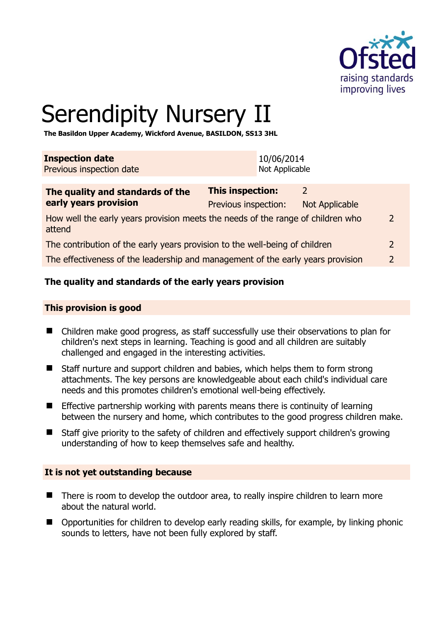

# Serendipity Nursery II

**The Basildon Upper Academy, Wickford Avenue, BASILDON, SS13 3HL** 

| <b>Inspection date</b>   | 10/06/2014     |
|--------------------------|----------------|
| Previous inspection date | Not Applicable |
|                          |                |

| The quality and standards of the                                                          | <b>This inspection:</b> |                |               |
|-------------------------------------------------------------------------------------------|-------------------------|----------------|---------------|
| early years provision                                                                     | Previous inspection:    | Not Applicable |               |
| How well the early years provision meets the needs of the range of children who<br>attend |                         |                | $\mathcal{L}$ |
| The contribution of the early years provision to the well-being of children               |                         |                |               |
| The effectiveness of the leadership and management of the early years provision           |                         |                | $\mathcal{L}$ |
|                                                                                           |                         |                |               |

# **The quality and standards of the early years provision**

#### **This provision is good**

- Children make good progress, as staff successfully use their observations to plan for children's next steps in learning. Teaching is good and all children are suitably challenged and engaged in the interesting activities.
- Staff nurture and support children and babies, which helps them to form strong attachments. The key persons are knowledgeable about each child's individual care needs and this promotes children's emotional well-being effectively.
- **Effective partnership working with parents means there is continuity of learning** between the nursery and home, which contributes to the good progress children make.
- Staff give priority to the safety of children and effectively support children's growing understanding of how to keep themselves safe and healthy.

#### **It is not yet outstanding because**

- There is room to develop the outdoor area, to really inspire children to learn more about the natural world.
- Opportunities for children to develop early reading skills, for example, by linking phonic sounds to letters, have not been fully explored by staff.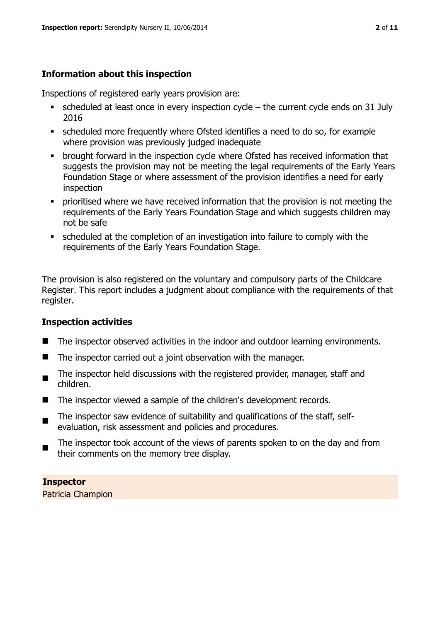# **Information about this inspection**

Inspections of registered early years provision are:

- $\bullet$  scheduled at least once in every inspection cycle the current cycle ends on 31 July 2016
- scheduled more frequently where Ofsted identifies a need to do so, for example where provision was previously judged inadequate
- **•** brought forward in the inspection cycle where Ofsted has received information that suggests the provision may not be meeting the legal requirements of the Early Years Foundation Stage or where assessment of the provision identifies a need for early inspection
- **•** prioritised where we have received information that the provision is not meeting the requirements of the Early Years Foundation Stage and which suggests children may not be safe
- scheduled at the completion of an investigation into failure to comply with the requirements of the Early Years Foundation Stage.

The provision is also registered on the voluntary and compulsory parts of the Childcare Register. This report includes a judgment about compliance with the requirements of that register.

# **Inspection activities**

- The inspector observed activities in the indoor and outdoor learning environments.
- $\blacksquare$  The inspector carried out a joint observation with the manager.
- The inspector held discussions with the registered provider, manager, staff and children.
- The inspector viewed a sample of the children's development records.
- $\blacksquare$ The inspector saw evidence of suitability and qualifications of the staff, selfevaluation, risk assessment and policies and procedures.
- $\blacksquare$ The inspector took account of the views of parents spoken to on the day and from their comments on the memory tree display.

**Inspector**  Patricia Champion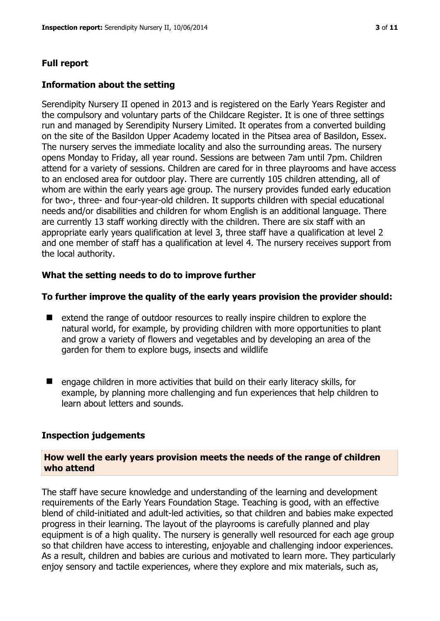### **Full report**

#### **Information about the setting**

Serendipity Nursery II opened in 2013 and is registered on the Early Years Register and the compulsory and voluntary parts of the Childcare Register. It is one of three settings run and managed by Serendipity Nursery Limited. It operates from a converted building on the site of the Basildon Upper Academy located in the Pitsea area of Basildon, Essex. The nursery serves the immediate locality and also the surrounding areas. The nursery opens Monday to Friday, all year round. Sessions are between 7am until 7pm. Children attend for a variety of sessions. Children are cared for in three playrooms and have access to an enclosed area for outdoor play. There are currently 105 children attending, all of whom are within the early years age group. The nursery provides funded early education for two-, three- and four-year-old children. It supports children with special educational needs and/or disabilities and children for whom English is an additional language. There are currently 13 staff working directly with the children. There are six staff with an appropriate early years qualification at level 3, three staff have a qualification at level 2 and one member of staff has a qualification at level 4. The nursery receives support from the local authority.

#### **What the setting needs to do to improve further**

#### **To further improve the quality of the early years provision the provider should:**

- extend the range of outdoor resources to really inspire children to explore the natural world, for example, by providing children with more opportunities to plant and grow a variety of flowers and vegetables and by developing an area of the garden for them to explore bugs, insects and wildlife
- $\blacksquare$  engage children in more activities that build on their early literacy skills, for example, by planning more challenging and fun experiences that help children to learn about letters and sounds.

#### **Inspection judgements**

#### **How well the early years provision meets the needs of the range of children who attend**

The staff have secure knowledge and understanding of the learning and development requirements of the Early Years Foundation Stage. Teaching is good, with an effective blend of child-initiated and adult-led activities, so that children and babies make expected progress in their learning. The layout of the playrooms is carefully planned and play equipment is of a high quality. The nursery is generally well resourced for each age group so that children have access to interesting, enjoyable and challenging indoor experiences. As a result, children and babies are curious and motivated to learn more. They particularly enjoy sensory and tactile experiences, where they explore and mix materials, such as,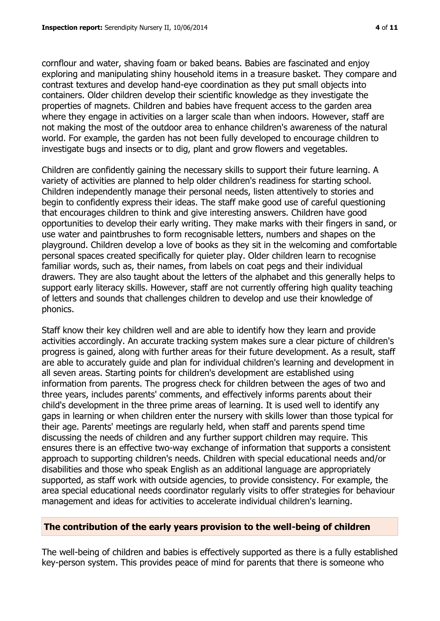cornflour and water, shaving foam or baked beans. Babies are fascinated and enjoy exploring and manipulating shiny household items in a treasure basket. They compare and contrast textures and develop hand-eye coordination as they put small objects into containers. Older children develop their scientific knowledge as they investigate the properties of magnets. Children and babies have frequent access to the garden area where they engage in activities on a larger scale than when indoors. However, staff are not making the most of the outdoor area to enhance children's awareness of the natural world. For example, the garden has not been fully developed to encourage children to investigate bugs and insects or to dig, plant and grow flowers and vegetables.

Children are confidently gaining the necessary skills to support their future learning. A variety of activities are planned to help older children's readiness for starting school. Children independently manage their personal needs, listen attentively to stories and begin to confidently express their ideas. The staff make good use of careful questioning that encourages children to think and give interesting answers. Children have good opportunities to develop their early writing. They make marks with their fingers in sand, or use water and paintbrushes to form recognisable letters, numbers and shapes on the playground. Children develop a love of books as they sit in the welcoming and comfortable personal spaces created specifically for quieter play. Older children learn to recognise familiar words, such as, their names, from labels on coat pegs and their individual drawers. They are also taught about the letters of the alphabet and this generally helps to support early literacy skills. However, staff are not currently offering high quality teaching of letters and sounds that challenges children to develop and use their knowledge of phonics.

Staff know their key children well and are able to identify how they learn and provide activities accordingly. An accurate tracking system makes sure a clear picture of children's progress is gained, along with further areas for their future development. As a result, staff are able to accurately guide and plan for individual children's learning and development in all seven areas. Starting points for children's development are established using information from parents. The progress check for children between the ages of two and three years, includes parents' comments, and effectively informs parents about their child's development in the three prime areas of learning. It is used well to identify any gaps in learning or when children enter the nursery with skills lower than those typical for their age. Parents' meetings are regularly held, when staff and parents spend time discussing the needs of children and any further support children may require. This ensures there is an effective two-way exchange of information that supports a consistent approach to supporting children's needs. Children with special educational needs and/or disabilities and those who speak English as an additional language are appropriately supported, as staff work with outside agencies, to provide consistency. For example, the area special educational needs coordinator regularly visits to offer strategies for behaviour management and ideas for activities to accelerate individual children's learning.

# **The contribution of the early years provision to the well-being of children**

The well-being of children and babies is effectively supported as there is a fully established key-person system. This provides peace of mind for parents that there is someone who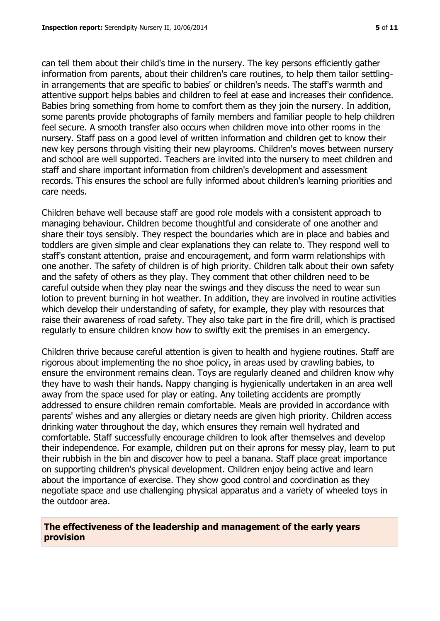can tell them about their child's time in the nursery. The key persons efficiently gather information from parents, about their children's care routines, to help them tailor settlingin arrangements that are specific to babies' or children's needs. The staff's warmth and attentive support helps babies and children to feel at ease and increases their confidence. Babies bring something from home to comfort them as they join the nursery. In addition, some parents provide photographs of family members and familiar people to help children feel secure. A smooth transfer also occurs when children move into other rooms in the nursery. Staff pass on a good level of written information and children get to know their new key persons through visiting their new playrooms. Children's moves between nursery and school are well supported. Teachers are invited into the nursery to meet children and staff and share important information from children's development and assessment records. This ensures the school are fully informed about children's learning priorities and care needs.

Children behave well because staff are good role models with a consistent approach to managing behaviour. Children become thoughtful and considerate of one another and share their toys sensibly. They respect the boundaries which are in place and babies and toddlers are given simple and clear explanations they can relate to. They respond well to staff's constant attention, praise and encouragement, and form warm relationships with one another. The safety of children is of high priority. Children talk about their own safety and the safety of others as they play. They comment that other children need to be careful outside when they play near the swings and they discuss the need to wear sun lotion to prevent burning in hot weather. In addition, they are involved in routine activities which develop their understanding of safety, for example, they play with resources that raise their awareness of road safety. They also take part in the fire drill, which is practised regularly to ensure children know how to swiftly exit the premises in an emergency.

Children thrive because careful attention is given to health and hygiene routines. Staff are rigorous about implementing the no shoe policy, in areas used by crawling babies, to ensure the environment remains clean. Toys are regularly cleaned and children know why they have to wash their hands. Nappy changing is hygienically undertaken in an area well away from the space used for play or eating. Any toileting accidents are promptly addressed to ensure children remain comfortable. Meals are provided in accordance with parents' wishes and any allergies or dietary needs are given high priority. Children access drinking water throughout the day, which ensures they remain well hydrated and comfortable. Staff successfully encourage children to look after themselves and develop their independence. For example, children put on their aprons for messy play, learn to put their rubbish in the bin and discover how to peel a banana. Staff place great importance on supporting children's physical development. Children enjoy being active and learn about the importance of exercise. They show good control and coordination as they negotiate space and use challenging physical apparatus and a variety of wheeled toys in the outdoor area.

#### **The effectiveness of the leadership and management of the early years provision**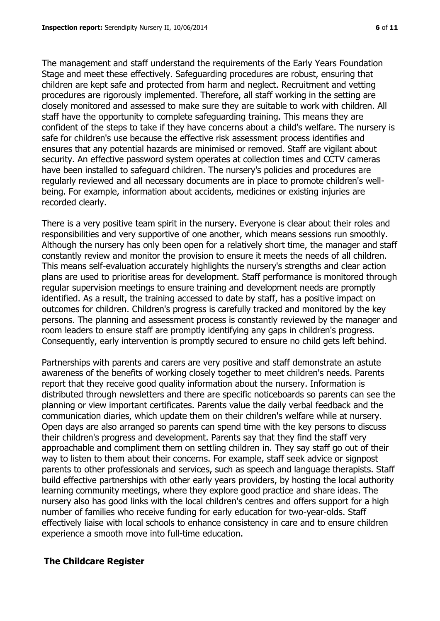The management and staff understand the requirements of the Early Years Foundation Stage and meet these effectively. Safeguarding procedures are robust, ensuring that children are kept safe and protected from harm and neglect. Recruitment and vetting procedures are rigorously implemented. Therefore, all staff working in the setting are closely monitored and assessed to make sure they are suitable to work with children. All staff have the opportunity to complete safeguarding training. This means they are confident of the steps to take if they have concerns about a child's welfare. The nursery is safe for children's use because the effective risk assessment process identifies and ensures that any potential hazards are minimised or removed. Staff are vigilant about security. An effective password system operates at collection times and CCTV cameras have been installed to safeguard children. The nursery's policies and procedures are regularly reviewed and all necessary documents are in place to promote children's wellbeing. For example, information about accidents, medicines or existing injuries are recorded clearly.

There is a very positive team spirit in the nursery. Everyone is clear about their roles and responsibilities and very supportive of one another, which means sessions run smoothly. Although the nursery has only been open for a relatively short time, the manager and staff constantly review and monitor the provision to ensure it meets the needs of all children. This means self-evaluation accurately highlights the nursery's strengths and clear action plans are used to prioritise areas for development. Staff performance is monitored through regular supervision meetings to ensure training and development needs are promptly identified. As a result, the training accessed to date by staff, has a positive impact on outcomes for children. Children's progress is carefully tracked and monitored by the key persons. The planning and assessment process is constantly reviewed by the manager and room leaders to ensure staff are promptly identifying any gaps in children's progress. Consequently, early intervention is promptly secured to ensure no child gets left behind.

Partnerships with parents and carers are very positive and staff demonstrate an astute awareness of the benefits of working closely together to meet children's needs. Parents report that they receive good quality information about the nursery. Information is distributed through newsletters and there are specific noticeboards so parents can see the planning or view important certificates. Parents value the daily verbal feedback and the communication diaries, which update them on their children's welfare while at nursery. Open days are also arranged so parents can spend time with the key persons to discuss their children's progress and development. Parents say that they find the staff very approachable and compliment them on settling children in. They say staff go out of their way to listen to them about their concerns. For example, staff seek advice or signpost parents to other professionals and services, such as speech and language therapists. Staff build effective partnerships with other early years providers, by hosting the local authority learning community meetings, where they explore good practice and share ideas. The nursery also has good links with the local children's centres and offers support for a high number of families who receive funding for early education for two-year-olds. Staff effectively liaise with local schools to enhance consistency in care and to ensure children experience a smooth move into full-time education.

# **The Childcare Register**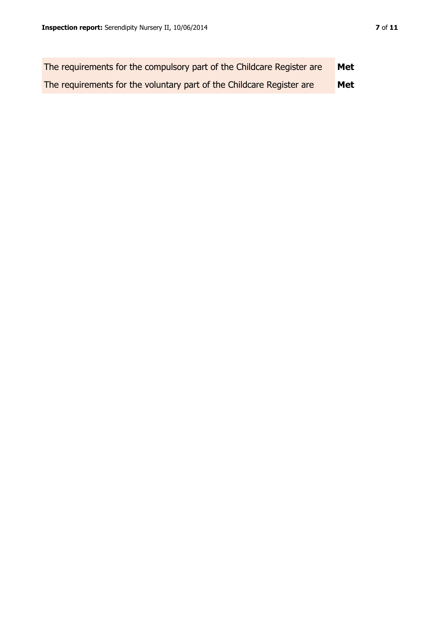| The requirements for the compulsory part of the Childcare Register are | Met |
|------------------------------------------------------------------------|-----|
| The requirements for the voluntary part of the Childcare Register are  | Met |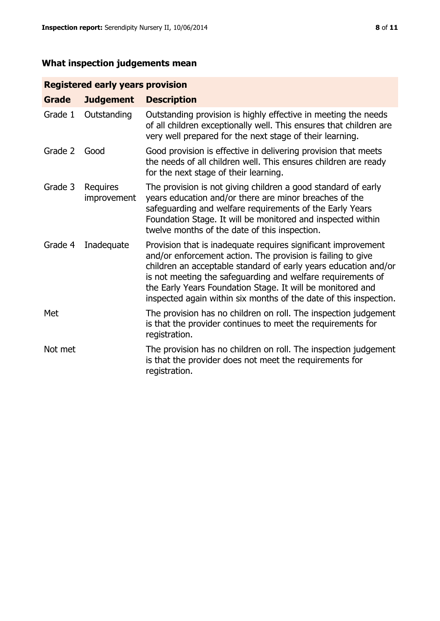# **What inspection judgements mean**

# **Registered early years provision**

| <b>Grade</b> | <b>Judgement</b>        | <b>Description</b>                                                                                                                                                                                                                                                                                                                                                                                |
|--------------|-------------------------|---------------------------------------------------------------------------------------------------------------------------------------------------------------------------------------------------------------------------------------------------------------------------------------------------------------------------------------------------------------------------------------------------|
| Grade 1      | Outstanding             | Outstanding provision is highly effective in meeting the needs<br>of all children exceptionally well. This ensures that children are<br>very well prepared for the next stage of their learning.                                                                                                                                                                                                  |
| Grade 2      | Good                    | Good provision is effective in delivering provision that meets<br>the needs of all children well. This ensures children are ready<br>for the next stage of their learning.                                                                                                                                                                                                                        |
| Grade 3      | Requires<br>improvement | The provision is not giving children a good standard of early<br>years education and/or there are minor breaches of the<br>safeguarding and welfare requirements of the Early Years<br>Foundation Stage. It will be monitored and inspected within<br>twelve months of the date of this inspection.                                                                                               |
| Grade 4      | Inadequate              | Provision that is inadequate requires significant improvement<br>and/or enforcement action. The provision is failing to give<br>children an acceptable standard of early years education and/or<br>is not meeting the safeguarding and welfare requirements of<br>the Early Years Foundation Stage. It will be monitored and<br>inspected again within six months of the date of this inspection. |
| Met          |                         | The provision has no children on roll. The inspection judgement<br>is that the provider continues to meet the requirements for<br>registration.                                                                                                                                                                                                                                                   |
| Not met      |                         | The provision has no children on roll. The inspection judgement<br>is that the provider does not meet the requirements for<br>registration.                                                                                                                                                                                                                                                       |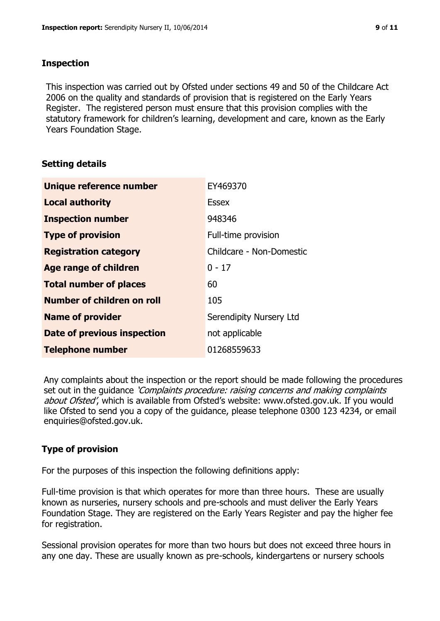## **Inspection**

This inspection was carried out by Ofsted under sections 49 and 50 of the Childcare Act 2006 on the quality and standards of provision that is registered on the Early Years Register. The registered person must ensure that this provision complies with the statutory framework for children's learning, development and care, known as the Early Years Foundation Stage.

# **Setting details**

| Unique reference number            | EY469370                 |
|------------------------------------|--------------------------|
| <b>Local authority</b>             | <b>Essex</b>             |
| <b>Inspection number</b>           | 948346                   |
| <b>Type of provision</b>           | Full-time provision      |
| <b>Registration category</b>       | Childcare - Non-Domestic |
| <b>Age range of children</b>       | $0 - 17$                 |
| <b>Total number of places</b>      | 60                       |
| <b>Number of children on roll</b>  | 105                      |
| <b>Name of provider</b>            | Serendipity Nursery Ltd  |
| <b>Date of previous inspection</b> | not applicable           |
| <b>Telephone number</b>            | 01268559633              |

Any complaints about the inspection or the report should be made following the procedures set out in the guidance *'Complaints procedure: raising concerns and making complaints* about Ofsted', which is available from Ofsted's website: www.ofsted.gov.uk. If you would like Ofsted to send you a copy of the guidance, please telephone 0300 123 4234, or email enquiries@ofsted.gov.uk.

# **Type of provision**

For the purposes of this inspection the following definitions apply:

Full-time provision is that which operates for more than three hours. These are usually known as nurseries, nursery schools and pre-schools and must deliver the Early Years Foundation Stage. They are registered on the Early Years Register and pay the higher fee for registration.

Sessional provision operates for more than two hours but does not exceed three hours in any one day. These are usually known as pre-schools, kindergartens or nursery schools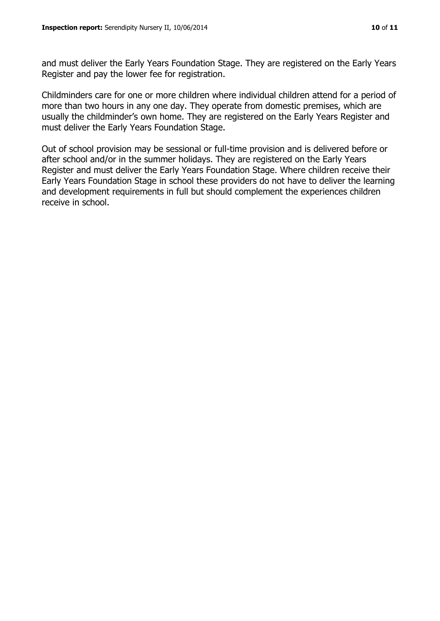and must deliver the Early Years Foundation Stage. They are registered on the Early Years Register and pay the lower fee for registration.

Childminders care for one or more children where individual children attend for a period of more than two hours in any one day. They operate from domestic premises, which are usually the childminder's own home. They are registered on the Early Years Register and must deliver the Early Years Foundation Stage.

Out of school provision may be sessional or full-time provision and is delivered before or after school and/or in the summer holidays. They are registered on the Early Years Register and must deliver the Early Years Foundation Stage. Where children receive their Early Years Foundation Stage in school these providers do not have to deliver the learning and development requirements in full but should complement the experiences children receive in school.